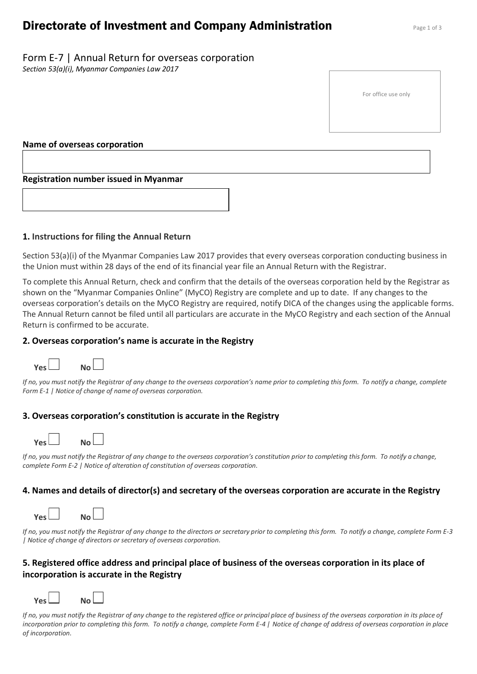# **Directorate of Investment and Company Administration** Page 1 of 3

Form E-7 | Annual Return for overseas corporation *Section 53(a)(i), Myanmar Companies Law 2017*

For office use only

#### **Name of overseas corporation**

#### **Registration number issued in Myanmar**

#### **1. Instructions for filing the Annual Return**

Section 53(a)(i) of the Myanmar Companies Law 2017 provides that every overseas corporation conducting business in the Union must within 28 days of the end of its financial year file an Annual Return with the Registrar.

To complete this Annual Return, check and confirm that the details of the overseas corporation held by the Registrar as shown on the "Myanmar Companies Online" (MyCO) Registry are complete and up to date. If any changes to the overseas corporation's details on the MyCO Registry are required, notify DICA of the changes using the applicable forms. The Annual Return cannot be filed until all particulars are accurate in the MyCO Registry and each section of the Annual Return is confirmed to be accurate.

#### **2. Overseas corporation's name is accurate in the Registry**



*If no, you must notify the Registrar of any change to the overseas corporation's name prior to completing this form. To notify a change, complete Form E-1 | Notice of change of name of overseas corporation.*

## **3. Overseas corporation's constitution is accurate in the Registry**

| ا ۷۵۲ |  | N <sub>0</sub> |
|-------|--|----------------|

*If no, you must notify the Registrar of any change to the overseas corporation's constitution prior to completing this form. To notify a change, complete Form E-2 | Notice of alteration of constitution of overseas corporation.*

## **4. Names and details of director(s) and secretary of the overseas corporation are accurate in the Registry**

| ا ۷۵۲ | No L |  |
|-------|------|--|
|       |      |  |

*If no, you must notify the Registrar of any change to the directors or secretary prior to completing this form. To notify a change, complete Form E-3 | Notice of change of directors or secretary of overseas corporation.*

## **5. Registered office address and principal place of business of the overseas corporation in its place of incorporation is accurate in the Registry**

| ا ۷۵۲<br>No l |
|---------------|
|---------------|

*If no, you must notify the Registrar of any change to the registered office or principal place of business of the overseas corporation in its place of incorporation prior to completing this form. To notify a change, complete Form E-4 | Notice of change of address of overseas corporation in place of incorporation.*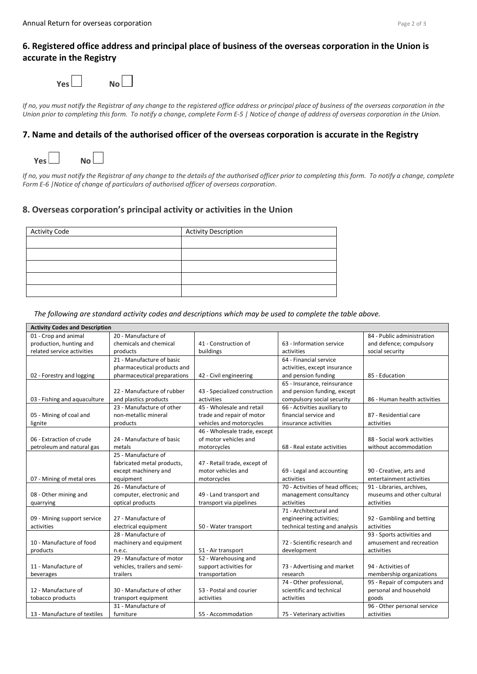## **6. Registered office address and principal place of business of the overseas corporation in the Union is accurate in the Registry**

| Ves l | No L |  |
|-------|------|--|

*If no, you must notify the Registrar of any change to the registered office address or principal place of business of the overseas corporation in the Union prior to completing this form. To notify a change, complete Form E-5 | Notice of change of address of overseas corporation in the Union.* 

#### **7. Name and details of the authorised officer of the overseas corporation is accurate in the Registry**



*If no, you must notify the Registrar of any change to the details of the authorised officer prior to completing this form. To notify a change, complete Form E-6 |Notice of change of particulars of authorised officer of overseas corporation.*

## **8. Overseas corporation's principal activity or activities in the Union**

| <b>Activity Code</b> | <b>Activity Description</b> |
|----------------------|-----------------------------|
|                      |                             |
|                      |                             |
|                      |                             |
|                      |                             |
|                      |                             |

#### *The following are standard activity codes and descriptions which may be used to complete the table above.*

| <b>Activity Codes and Description</b> |                              |                               |                                  |                              |
|---------------------------------------|------------------------------|-------------------------------|----------------------------------|------------------------------|
| 01 - Crop and animal                  | 20 - Manufacture of          |                               |                                  | 84 - Public administration   |
| production, hunting and               | chemicals and chemical       | 41 - Construction of          | 63 - Information service         | and defence; compulsory      |
| related service activities            | products                     | buildings                     | activities                       | social security              |
|                                       | 21 - Manufacture of basic    |                               | 64 - Financial service           |                              |
|                                       | pharmaceutical products and  |                               | activities, except insurance     |                              |
| 02 - Forestry and logging             | pharmaceutical preparations  | 42 - Civil engineering        | and pension funding              | 85 - Education               |
|                                       |                              |                               | 65 - Insurance, reinsurance      |                              |
|                                       | 22 - Manufacture of rubber   | 43 - Specialized construction | and pension funding, except      |                              |
| 03 - Fishing and aquaculture          | and plastics products        | activities                    | compulsory social security       | 86 - Human health activities |
|                                       | 23 - Manufacture of other    | 45 - Wholesale and retail     | 66 - Activities auxiliary to     |                              |
| 05 - Mining of coal and               | non-metallic mineral         | trade and repair of motor     | financial service and            | 87 - Residential care        |
| lignite                               | products                     | vehicles and motorcycles      | insurance activities             | activities                   |
|                                       |                              | 46 - Wholesale trade, except  |                                  |                              |
| 06 - Extraction of crude              | 24 - Manufacture of basic    | of motor vehicles and         |                                  | 88 - Social work activities  |
| petroleum and natural gas             | metals                       | motorcycles                   | 68 - Real estate activities      | without accommodation        |
|                                       | 25 - Manufacture of          |                               |                                  |                              |
|                                       | fabricated metal products,   | 47 - Retail trade, except of  |                                  |                              |
|                                       | except machinery and         | motor vehicles and            | 69 - Legal and accounting        | 90 - Creative, arts and      |
| 07 - Mining of metal ores             | equipment                    | motorcycles                   | activities                       | entertainment activities     |
|                                       | 26 - Manufacture of          |                               | 70 - Activities of head offices; | 91 - Libraries, archives,    |
| 08 - Other mining and                 | computer, electronic and     | 49 - Land transport and       | management consultancy           | museums and other cultural   |
| quarrying                             | optical products             | transport via pipelines       | activities                       | activities                   |
|                                       |                              |                               | 71 - Architectural and           |                              |
| 09 - Mining support service           | 27 - Manufacture of          |                               | engineering activities;          | 92 - Gambling and betting    |
| activities                            | electrical equipment         | 50 - Water transport          | technical testing and analysis   | activities                   |
|                                       | 28 - Manufacture of          |                               |                                  | 93 - Sports activities and   |
| 10 - Manufacture of food              | machinery and equipment      |                               | 72 - Scientific research and     | amusement and recreation     |
| products                              | n.e.c.                       | 51 - Air transport            | development                      | activities                   |
|                                       | 29 - Manufacture of motor    | 52 - Warehousing and          |                                  |                              |
| 11 - Manufacture of                   | vehicles, trailers and semi- | support activities for        | 73 - Advertising and market      | 94 - Activities of           |
| beverages                             | trailers                     | transportation                | research                         | membership organizations     |
|                                       |                              |                               | 74 - Other professional,         | 95 - Repair of computers and |
| 12 - Manufacture of                   | 30 - Manufacture of other    | 53 - Postal and courier       | scientific and technical         | personal and household       |
| tobacco products                      | transport equipment          | activities                    | activities                       | goods                        |
|                                       | 31 - Manufacture of          |                               |                                  | 96 - Other personal service  |
| 13 - Manufacture of textiles          | furniture                    | 55 - Accommodation            | 75 - Veterinary activities       | activities                   |